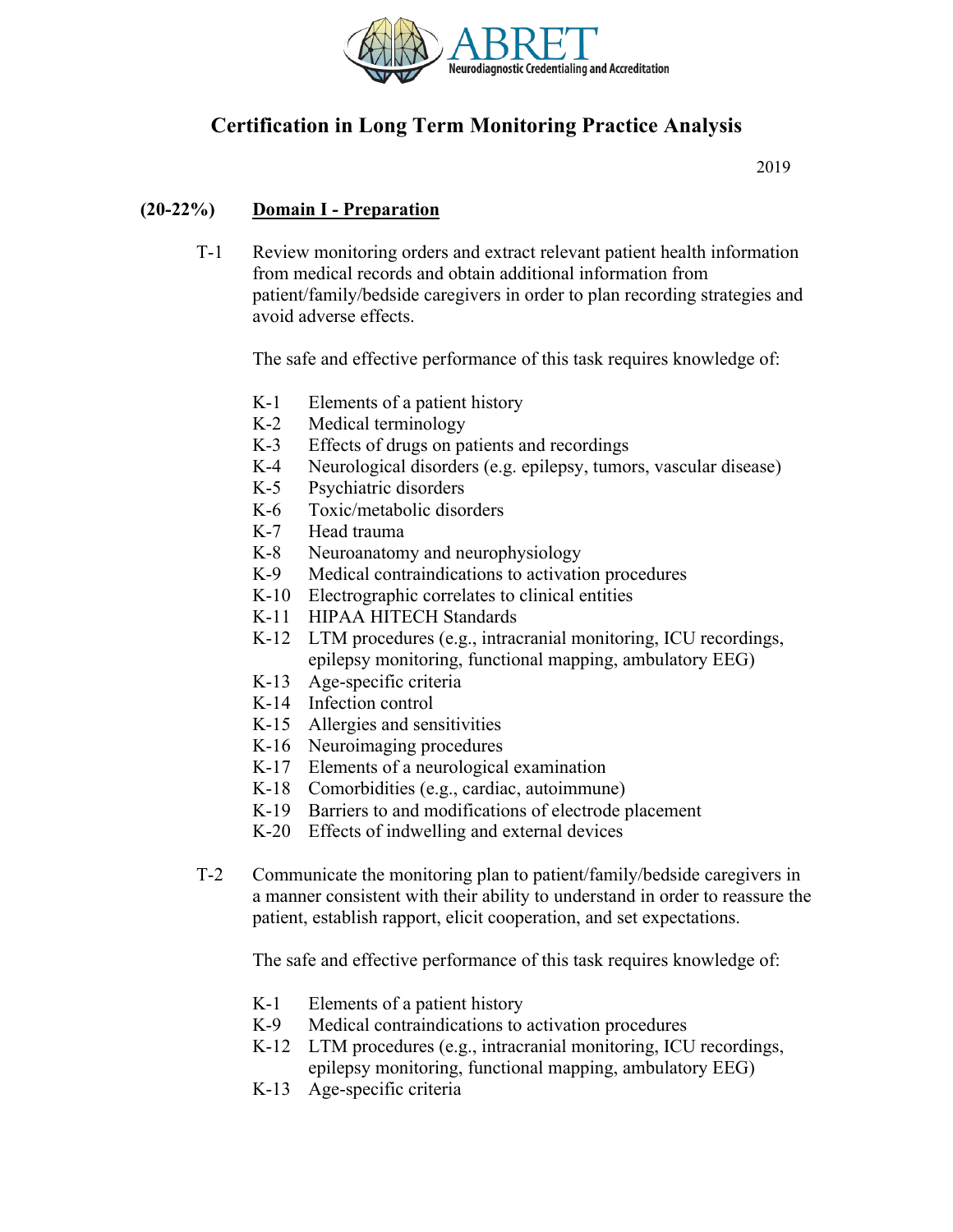

# **Certification in Long Term Monitoring Practice Analysis**

2019

## **(20-22%) Domain I - Preparation**

T-1 Review monitoring orders and extract relevant patient health information from medical records and obtain additional information from patient/family/bedside caregivers in order to plan recording strategies and avoid adverse effects.

The safe and effective performance of this task requires knowledge of:

- K-1 Elements of a patient history
- K-2 Medical terminology
- K-3 Effects of drugs on patients and recordings
- K-4 Neurological disorders (e.g. epilepsy, tumors, vascular disease)
- K-5 Psychiatric disorders
- K-6 Toxic/metabolic disorders
- K-7 Head trauma
- K-8 Neuroanatomy and neurophysiology
- K-9 Medical contraindications to activation procedures
- K-10 Electrographic correlates to clinical entities
- K-11 HIPAA HITECH Standards
- K-12 LTM procedures (e.g., intracranial monitoring, ICU recordings, epilepsy monitoring, functional mapping, ambulatory EEG)
- K-13 Age-specific criteria
- K-14 Infection control
- K-15 Allergies and sensitivities
- K-16 Neuroimaging procedures
- K-17 Elements of a neurological examination
- K-18 Comorbidities (e.g., cardiac, autoimmune)
- K-19 Barriers to and modifications of electrode placement
- K-20 Effects of indwelling and external devices
- T-2 Communicate the monitoring plan to patient/family/bedside caregivers in a manner consistent with their ability to understand in order to reassure the patient, establish rapport, elicit cooperation, and set expectations.

- K-1 Elements of a patient history
- K-9 Medical contraindications to activation procedures
- K-12 LTM procedures (e.g., intracranial monitoring, ICU recordings, epilepsy monitoring, functional mapping, ambulatory EEG)
- K-13 Age-specific criteria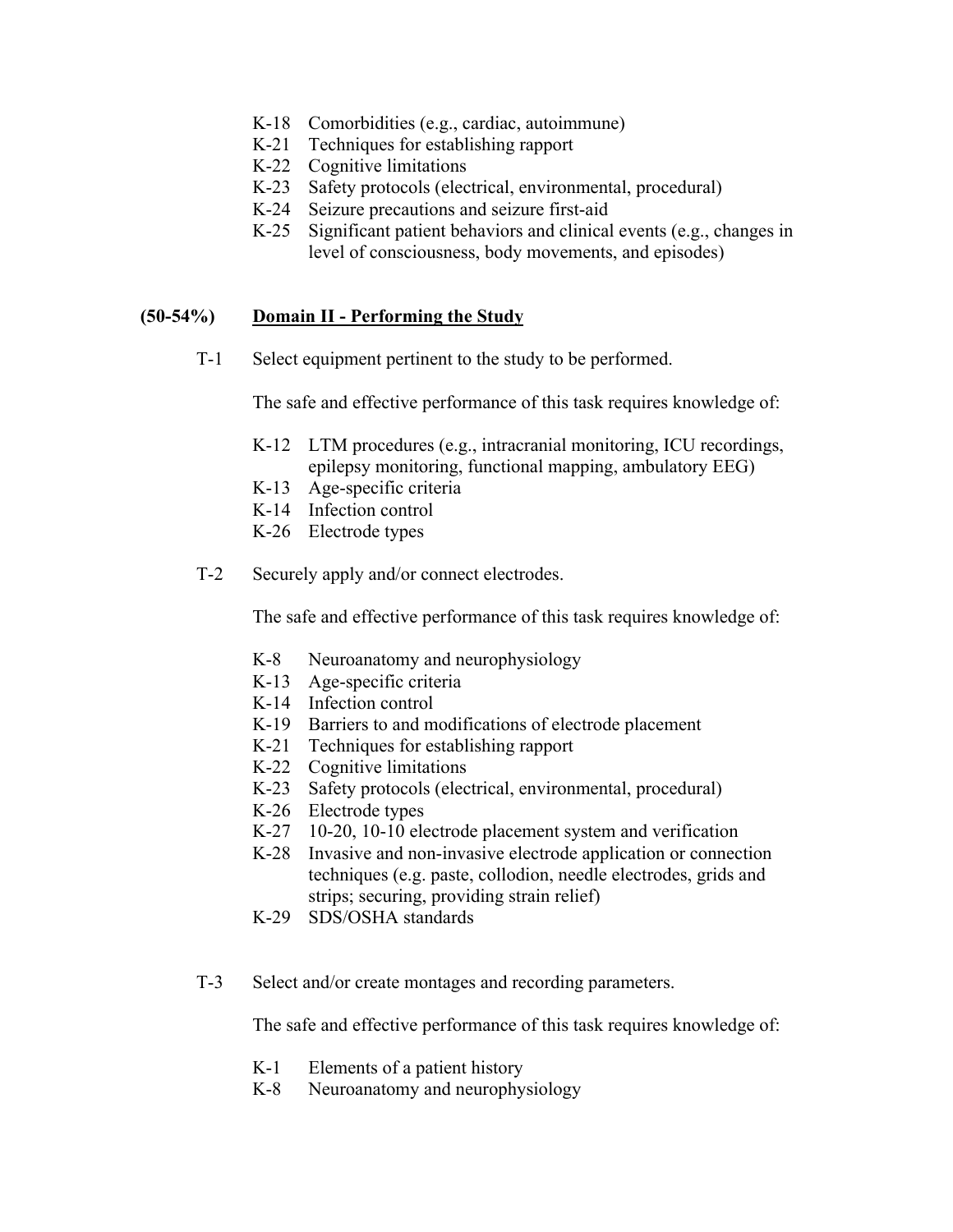- K-18 Comorbidities (e.g., cardiac, autoimmune)
- K-21 Techniques for establishing rapport
- K-22 Cognitive limitations
- K-23 Safety protocols (electrical, environmental, procedural)
- K-24 Seizure precautions and seizure first-aid
- K-25 Significant patient behaviors and clinical events (e.g., changes in level of consciousness, body movements, and episodes)

#### **(50-54%) Domain II - Performing the Study**

T-1 Select equipment pertinent to the study to be performed.

The safe and effective performance of this task requires knowledge of:

- K-12 LTM procedures (e.g., intracranial monitoring, ICU recordings, epilepsy monitoring, functional mapping, ambulatory EEG)
- K-13 Age-specific criteria
- K-14 Infection control
- K-26 Electrode types
- T-2 Securely apply and/or connect electrodes.

The safe and effective performance of this task requires knowledge of:

- K-8 Neuroanatomy and neurophysiology
- K-13 Age-specific criteria
- K-14 Infection control
- K-19 Barriers to and modifications of electrode placement
- K-21 Techniques for establishing rapport
- K-22 Cognitive limitations
- K-23 Safety protocols (electrical, environmental, procedural)
- K-26 Electrode types
- K-27 10-20, 10-10 electrode placement system and verification
- K-28 Invasive and non-invasive electrode application or connection techniques (e.g. paste, collodion, needle electrodes, grids and strips; securing, providing strain relief)
- K-29 SDS/OSHA standards
- T-3 Select and/or create montages and recording parameters.

- K-1 Elements of a patient history
- K-8 Neuroanatomy and neurophysiology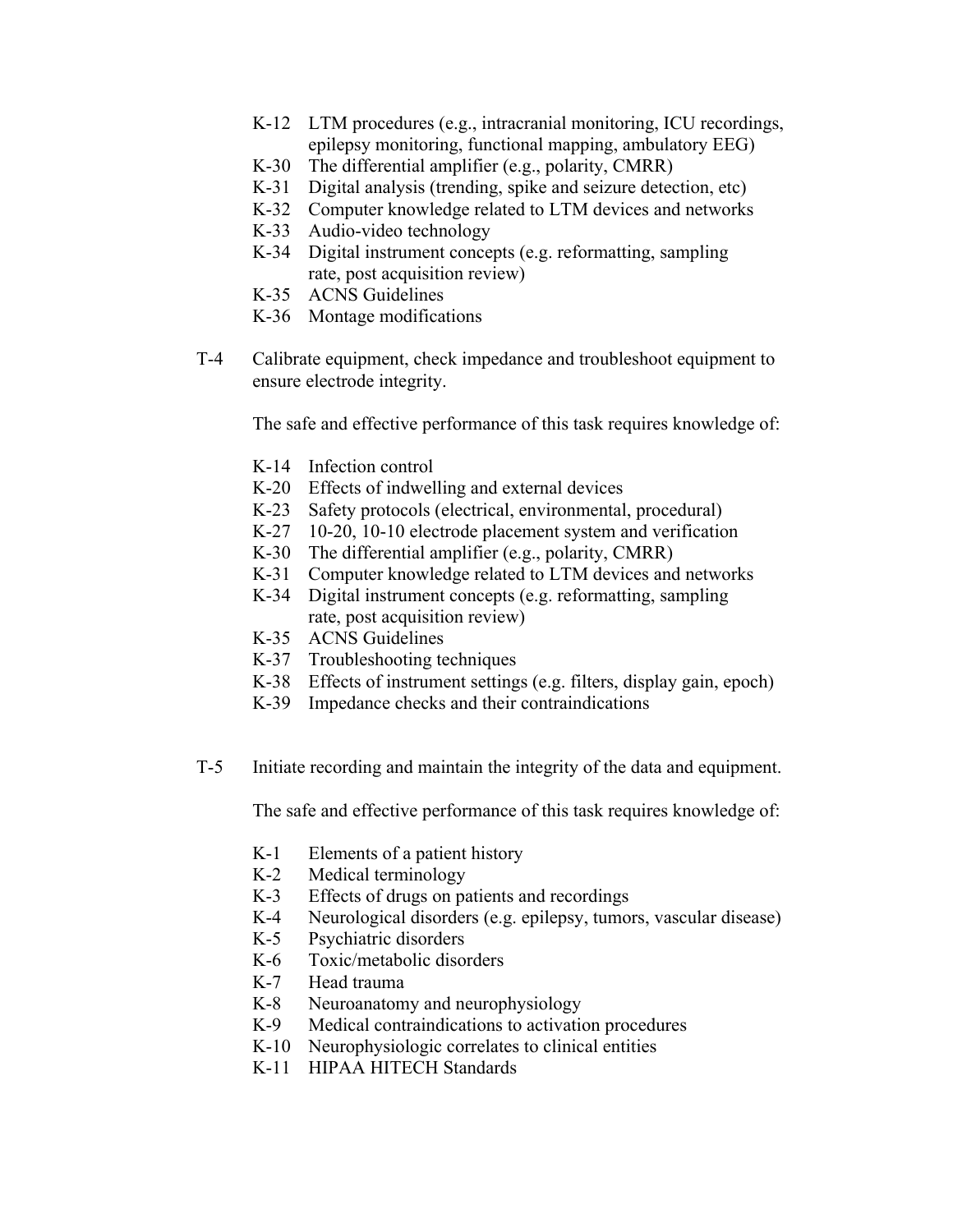- K-12 LTM procedures (e.g., intracranial monitoring, ICU recordings, epilepsy monitoring, functional mapping, ambulatory EEG)
- K-30 The differential amplifier (e.g., polarity, CMRR)
- K-31 Digital analysis (trending, spike and seizure detection, etc)
- K-32 Computer knowledge related to LTM devices and networks
- K-33 Audio-video technology
- K-34 Digital instrument concepts (e.g. reformatting, sampling rate, post acquisition review)
- K-35 ACNS Guidelines
- K-36 Montage modifications
- T-4 Calibrate equipment, check impedance and troubleshoot equipment to ensure electrode integrity.

The safe and effective performance of this task requires knowledge of:

- K-14 Infection control
- K-20 Effects of indwelling and external devices
- K-23 Safety protocols (electrical, environmental, procedural)
- K-27 10-20, 10-10 electrode placement system and verification
- K-30 The differential amplifier (e.g., polarity, CMRR)
- K-31 Computer knowledge related to LTM devices and networks
- K-34 Digital instrument concepts (e.g. reformatting, sampling rate, post acquisition review)
- K-35 ACNS Guidelines
- K-37 Troubleshooting techniques
- K-38 Effects of instrument settings (e.g. filters, display gain, epoch)
- K-39 Impedance checks and their contraindications
- T-5 Initiate recording and maintain the integrity of the data and equipment.

- K-1 Elements of a patient history
- K-2 Medical terminology
- K-3 Effects of drugs on patients and recordings
- K-4 Neurological disorders (e.g. epilepsy, tumors, vascular disease)
- K-5 Psychiatric disorders
- K-6 Toxic/metabolic disorders
- K-7 Head trauma
- K-8 Neuroanatomy and neurophysiology
- K-9 Medical contraindications to activation procedures
- K-10 Neurophysiologic correlates to clinical entities
- K-11 HIPAA HITECH Standards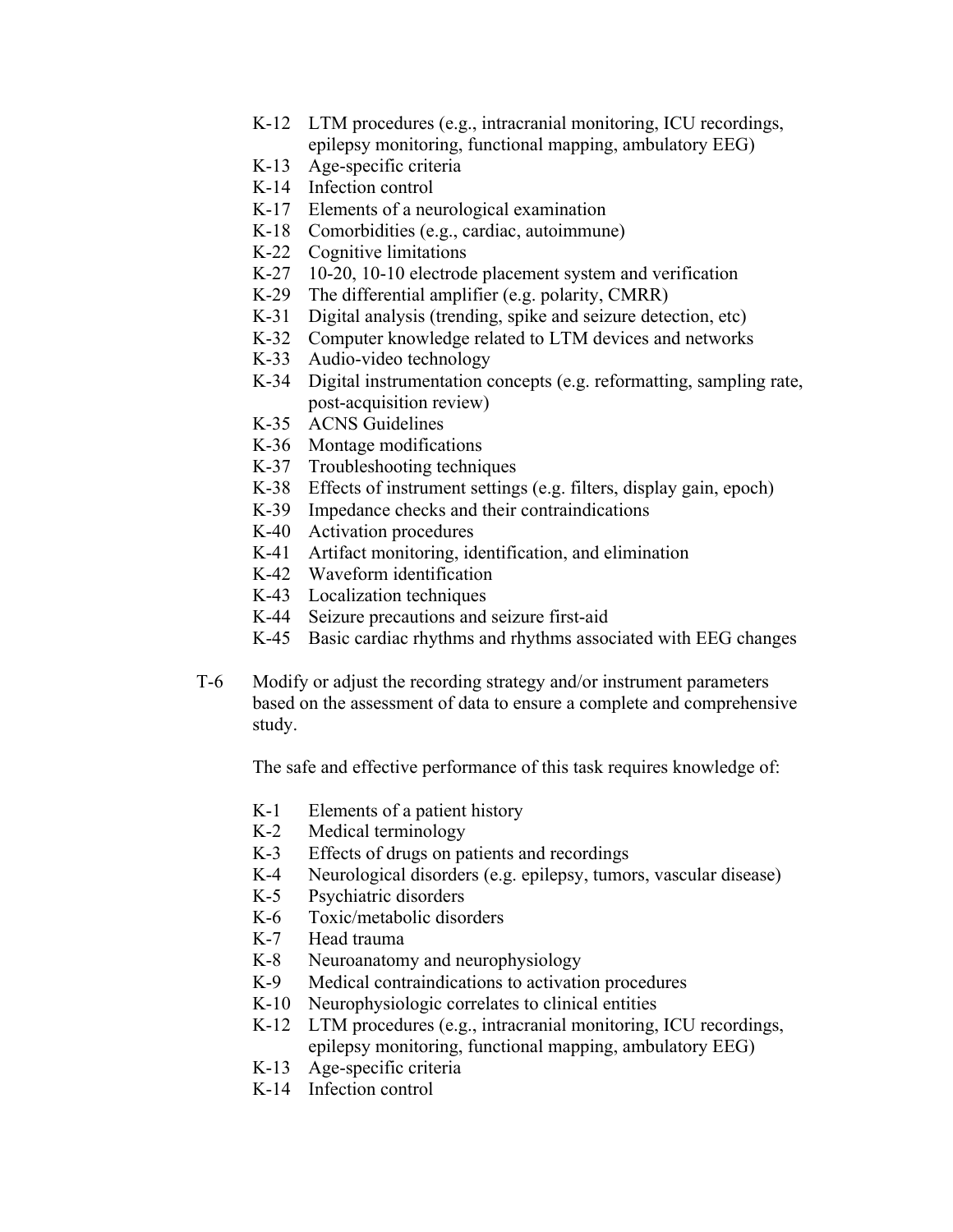- K-12 LTM procedures (e.g., intracranial monitoring, ICU recordings, epilepsy monitoring, functional mapping, ambulatory EEG)
- K-13 Age-specific criteria
- K-14 Infection control
- K-17 Elements of a neurological examination
- K-18 Comorbidities (e.g., cardiac, autoimmune)
- K-22 Cognitive limitations
- K-27 10-20, 10-10 electrode placement system and verification
- K-29 The differential amplifier (e.g. polarity, CMRR)
- K-31 Digital analysis (trending, spike and seizure detection, etc)
- K-32 Computer knowledge related to LTM devices and networks
- K-33 Audio-video technology
- K-34 Digital instrumentation concepts (e.g. reformatting, sampling rate, post-acquisition review)
- K-35 ACNS Guidelines
- K-36 Montage modifications
- K-37 Troubleshooting techniques
- K-38 Effects of instrument settings (e.g. filters, display gain, epoch)
- K-39 Impedance checks and their contraindications
- K-40 Activation procedures
- K-41 Artifact monitoring, identification, and elimination
- K-42 Waveform identification
- K-43 Localization techniques
- K-44 Seizure precautions and seizure first-aid
- K-45 Basic cardiac rhythms and rhythms associated with EEG changes
- T-6 Modify or adjust the recording strategy and/or instrument parameters based on the assessment of data to ensure a complete and comprehensive study.

- K-1 Elements of a patient history
- K-2 Medical terminology
- K-3 Effects of drugs on patients and recordings
- K-4 Neurological disorders (e.g. epilepsy, tumors, vascular disease)
- K-5 Psychiatric disorders
- K-6 Toxic/metabolic disorders
- K-7 Head trauma
- K-8 Neuroanatomy and neurophysiology
- K-9 Medical contraindications to activation procedures
- K-10 Neurophysiologic correlates to clinical entities
- K-12 LTM procedures (e.g., intracranial monitoring, ICU recordings, epilepsy monitoring, functional mapping, ambulatory EEG)
- K-13 Age-specific criteria
- K-14 Infection control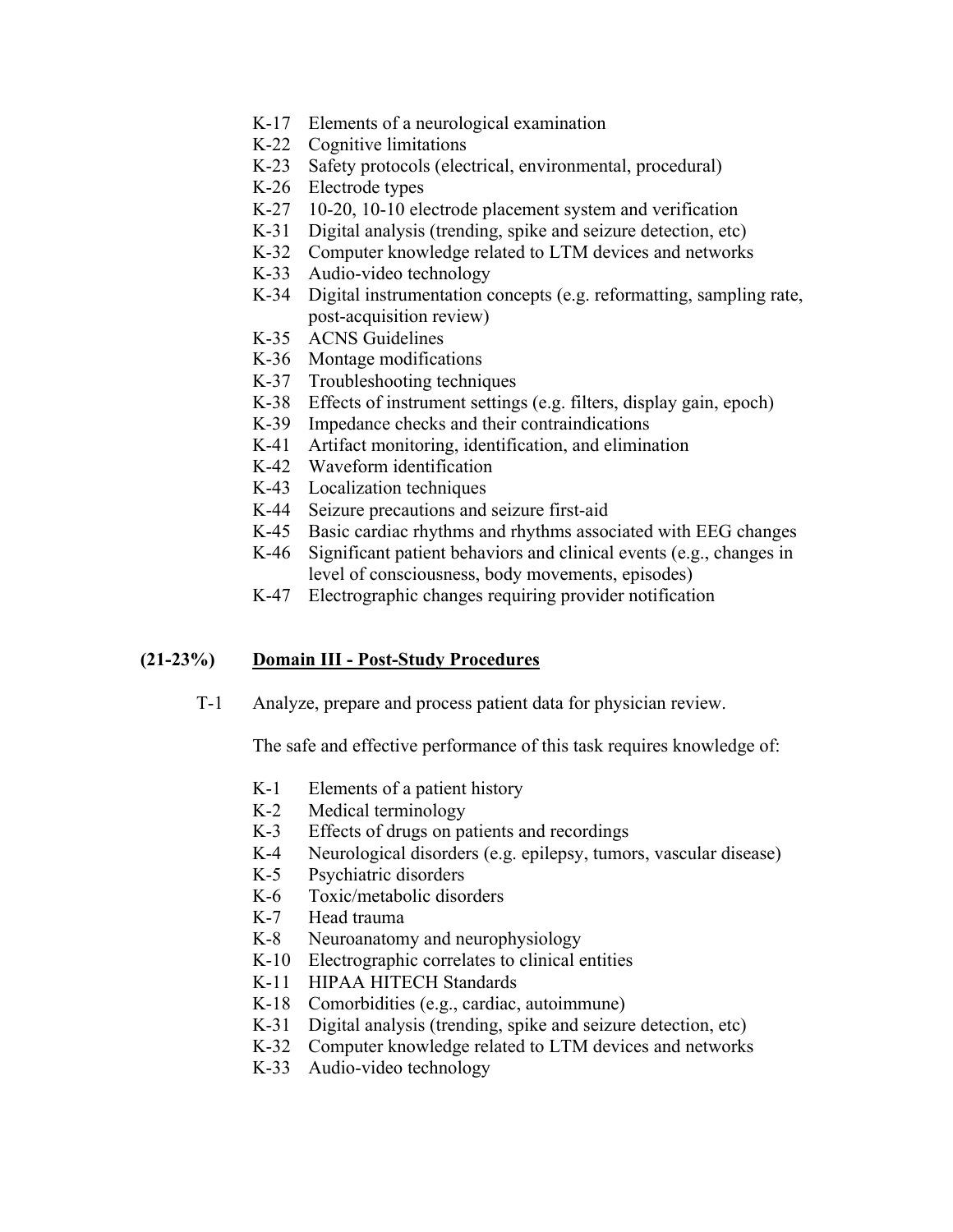- K-17 Elements of a neurological examination
- K-22 Cognitive limitations
- K-23 Safety protocols (electrical, environmental, procedural)
- K-26 Electrode types
- K-27 10-20, 10-10 electrode placement system and verification
- K-31 Digital analysis (trending, spike and seizure detection, etc)
- K-32 Computer knowledge related to LTM devices and networks
- K-33 Audio-video technology
- K-34 Digital instrumentation concepts (e.g. reformatting, sampling rate, post-acquisition review)
- K-35 ACNS Guidelines
- K-36 Montage modifications
- K-37 Troubleshooting techniques
- K-38 Effects of instrument settings (e.g. filters, display gain, epoch)
- K-39 Impedance checks and their contraindications
- K-41 Artifact monitoring, identification, and elimination
- K-42 Waveform identification
- K-43 Localization techniques
- K-44 Seizure precautions and seizure first-aid
- K-45 Basic cardiac rhythms and rhythms associated with EEG changes
- K-46 Significant patient behaviors and clinical events (e.g., changes in level of consciousness, body movements, episodes)
- K-47 Electrographic changes requiring provider notification

### **(21-23%) Domain III - Post-Study Procedures**

T-1 Analyze, prepare and process patient data for physician review.

- K-1 Elements of a patient history
- K-2 Medical terminology
- K-3 Effects of drugs on patients and recordings
- K-4 Neurological disorders (e.g. epilepsy, tumors, vascular disease)
- K-5 Psychiatric disorders
- K-6 Toxic/metabolic disorders
- K-7 Head trauma
- K-8 Neuroanatomy and neurophysiology
- K-10 Electrographic correlates to clinical entities
- K-11 HIPAA HITECH Standards
- K-18 Comorbidities (e.g., cardiac, autoimmune)
- K-31 Digital analysis (trending, spike and seizure detection, etc)
- K-32 Computer knowledge related to LTM devices and networks
- K-33 Audio-video technology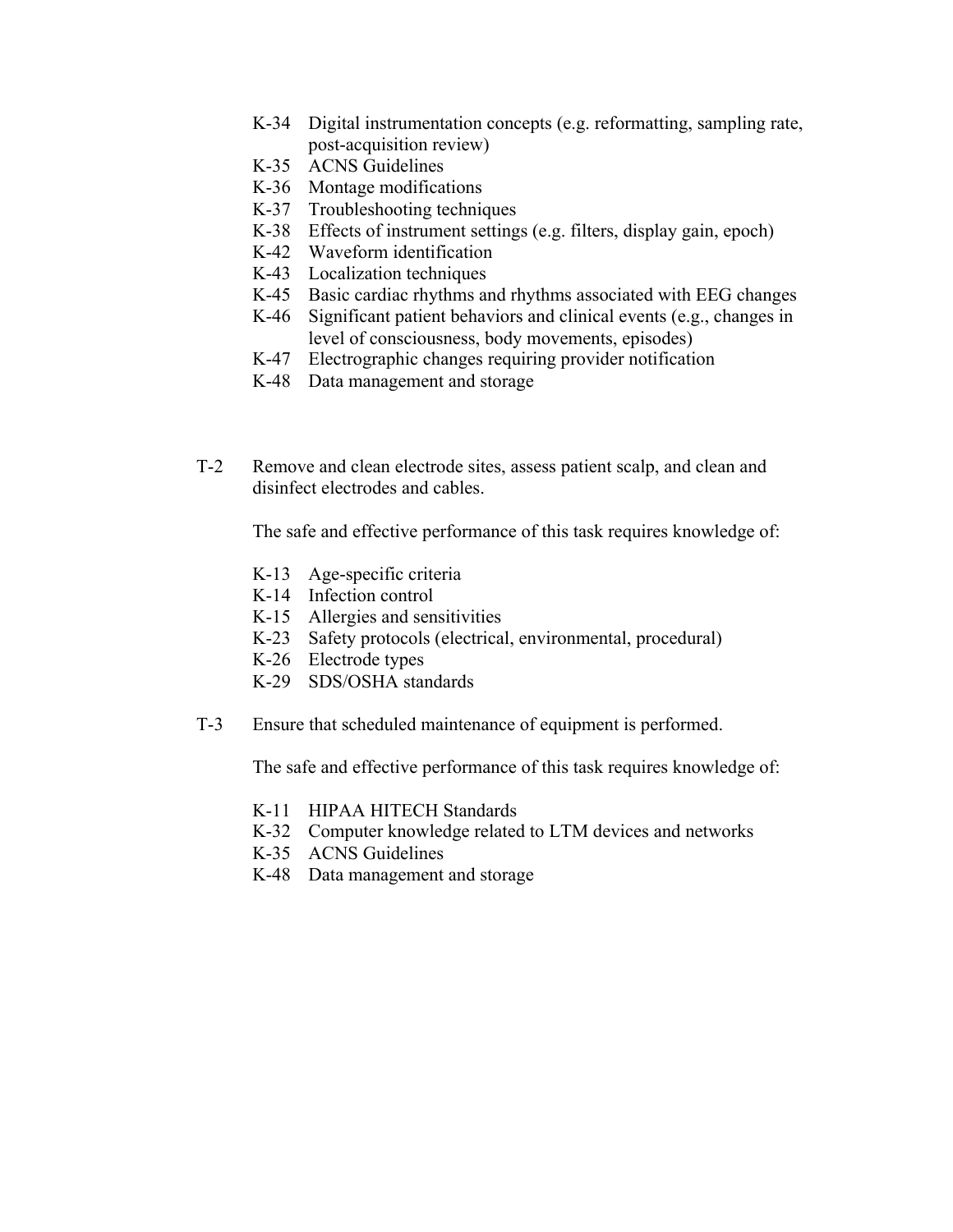- K-34 Digital instrumentation concepts (e.g. reformatting, sampling rate, post-acquisition review)
- K-35 ACNS Guidelines
- K-36 Montage modifications
- K-37 Troubleshooting techniques
- K-38 Effects of instrument settings (e.g. filters, display gain, epoch)
- K-42 Waveform identification
- K-43 Localization techniques
- K-45 Basic cardiac rhythms and rhythms associated with EEG changes
- K-46 Significant patient behaviors and clinical events (e.g., changes in level of consciousness, body movements, episodes)
- K-47 Electrographic changes requiring provider notification
- K-48 Data management and storage
- T-2 Remove and clean electrode sites, assess patient scalp, and clean and disinfect electrodes and cables.

The safe and effective performance of this task requires knowledge of:

- K-13 Age-specific criteria
- K-14 Infection control
- K-15 Allergies and sensitivities
- K-23 Safety protocols (electrical, environmental, procedural)
- K-26 Electrode types
- K-29 SDS/OSHA standards
- T-3 Ensure that scheduled maintenance of equipment is performed.

- K-11 HIPAA HITECH Standards
- K-32 Computer knowledge related to LTM devices and networks
- K-35 ACNS Guidelines
- K-48 Data management and storage